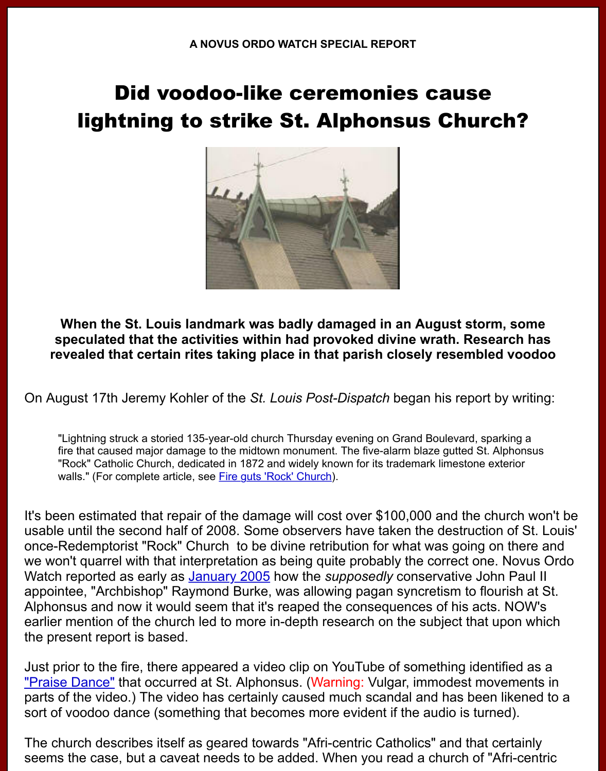## lightning to strike St. Alphonsus Church?



**When the St. Louis landmark was badly damaged in an August storm, strainly** speculated that the activities within had provoked divine wrath. Researc revealed that certain rites taking place in that parish closely resembled v

On August 17th Jeremy Kohler of the *St. Louis Post-Dispatch* began his report by w

"Lightning struck a storied 135-year-old church Thursday evening on Grand Boulevard, sparkin fire that caused major damage to the midtown monument. The five-alarm blaze gutted St. Alph "Rock" Catholic Church, dedicated in 1872 and widely known for its trademark limestone exteri walls." (For complete article, see Fire guts 'Rock' Church).

It's been estimated that repair of the damage will cost over \$100,000 and the church usable until the second half of 2008. Some observers have taken the destruction o once-Redemptorist "Rock" Church to be divine retribution for what was going on the we won't quarrel with that interpretation as being quite probably the correct one. No Watch reported as early as **January 2005** how the *supposedly* conservative John F appointee, "Archbishop" Raymond Burke, was allowing pagan syncretism to flouris Alphonsus and now it would seem that it's reaped the consequences of his acts. N earlier mention of the church led to more in-depth research on the subject that upo the present report is based.

Just prior to the fire, there appeared a video clip on YouTube of something identified "Praise Dance" that occurr[ed at St. Alphon](http://www.novusordowatch.org/archive2005-01.htm)sus. (Warning: Vulgar, immodest moven parts of the video.) The video has certainly caused much scandal and has been like sort of voodoo dance (something that becomes more evident if the audio is turned).

The church describes itself as geared towards "Afri-centric Catholics" and that cert seems the case, but a caveat needs to be added. When you read a church of "Afri-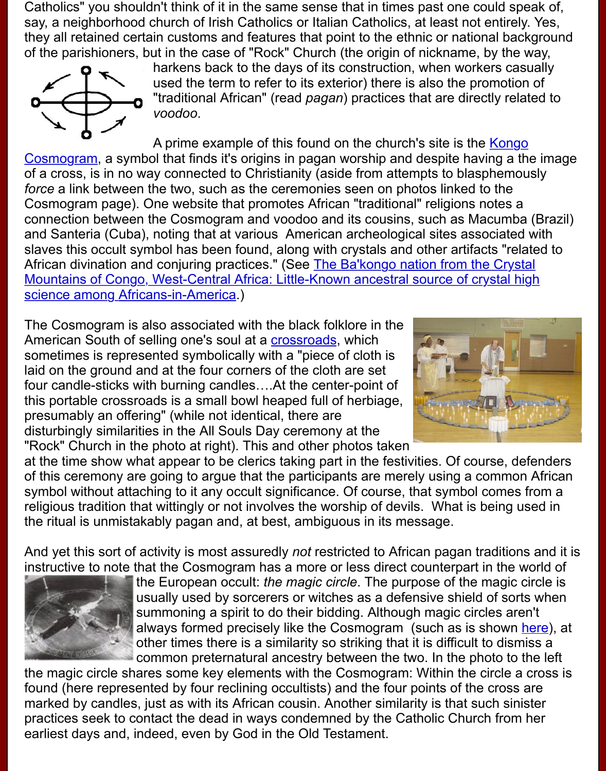

*voodoo*.

A prime example of this found on the church's site is the Kong Cosmogram, a symbol that finds it's origins in pagan worship and despite having a of a cross, is in no way connected to Christianity (aside from attempts to blasphem *force* a link between the two, such as the ceremonies seen on photos linked to the Cosmogram page). One website that promotes African "traditional" religions notes a connection between the Cosmogram and voodoo and its cousins, such as Macuml and Santeria (Cuba), noting that at various American archeological sites associate slaves this occult symbol has been found, along with crystals and other artifacts "re African divination and conjuring practices." (See The Ba'kongo nation from the Cry Mountains of Congo, West-Central Africa: Little-Known ancestral source of crystal science among Africans-in-America.)

The Cosmogram is also associated with the black folklore in the American South of selling one's soul at a crossroads, which sometimes is represented symbolically with a "piece of cloth is [laid on the ground and at the four corners of the cloth are set](http://www.blackherbals.com/bakongo_nation_crystal_mountain_congo.htm) four candle-sticks with burning candles….At the center-point of [this portable crossroads is a small b](http://www.blackherbals.com/bakongo_nation_crystal_mountain_congo.htm)owl heaped full of herbiage, presumably an offering" (while not identical, there are disturbingly similarities in the All Souls Day ceremony at the "Rock" Church in the photo at right). This [and other p](http://www.luckymojo.com/crossroads.html)hotos taken



at the time show what appear to be clerics taking part in the festivities. Of course, d of this ceremony are going to argue that the participants are merely using a common symbol without attaching to it any occult significance. Of course, that symbol come religious tradition that wittingly or not involves the worship of devils. What is being the ritual is unmistakably pagan and, at best, ambiguous in its message.

And yet this sort of activity is most assuredly *not* restricted to African pagan traditions instructive to note that the Cosmogram has a more or less direct counterpart in the



the European occult: *the magic circle*. The purpose of the magic usually used by sorcerers or witches as a defensive shield of so summoning a spirit to do their bidding. Although magic circles a always formed precisely like the Cosmogram (such as is shown other times there is a similarity so striking that it is difficult to dis common preternatural ancestry between the two. In the photo to

the magic circle shares some key elements with the Cosmogram: Within the circle found (here represented by four reclining occultists) and the four points of the crose marked by candles, just as with its African cousin. Another similarity is that such sin practices seek to contact the dead in ways condemned by the Catholic Church fror earliest days and, indeed, even by God in the Old Testament.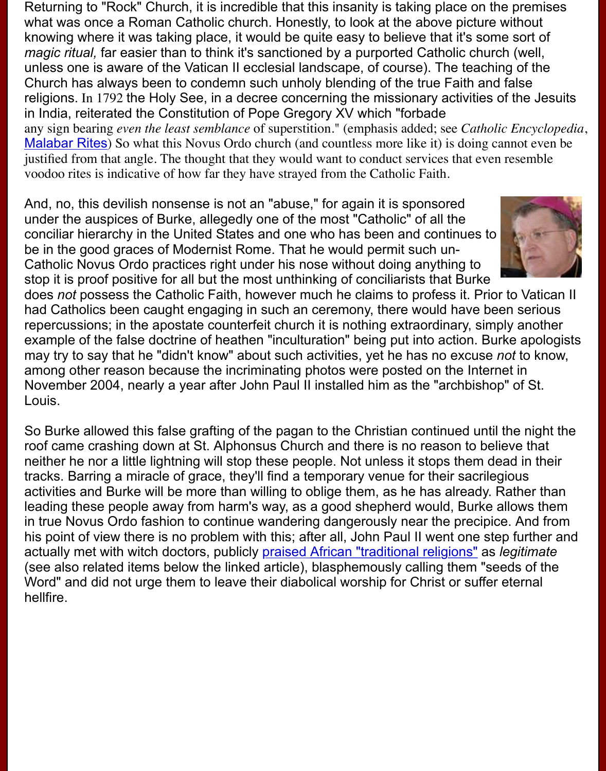religions. In 1792 the Holy See, in a decree concerning the missionary activities of the Jesuits in India, reiterated the Constitution of Pope Gregory XV which "forbade any sign bearing *even the least semblance* of superstition." (emphasis added; see *Catholic I* Malabar Rites) So what this Novus Ordo church (and countless more like it) is doing cannot justified from that angle. The thought that they would want to conduct services that even re voodoo rites is indicative of how far they have strayed from the Catholic Faith.

And, no, this devilish nonsense is not an "abuse," for again it is sponsored under the auspices of Burke, allegedly one of the most "Catholic" of all the conciliar hierarchy in the United States and one who has been and continues to [be in the good](http://www.newadvent.org/cathen/09558b.htm) graces of Modernist Rome. That he would permit such un-Catholic Novus Ordo practices right under his nose without doing anything to stop it is proof positive for all but the most unthinking of conciliarists that Burke

does not possess the Catholic Faith, however much he claims to profess it. Prior to had Catholics been caught engaging in such an ceremony, there would have been repercussions; in the apostate counterfeit church it is nothing extraordinary, simply example of the false doctrine of heathen "inculturation" being put into action. Burke may try to say that he "didn't know" about such activities, yet he has no excuse *not* among other reason because the incriminating photos were posted on the Internet November 2004, nearly a year after John Paul II installed him as the "archbishop" of Louis.

So Burke allowed this false grafting of the pagan to the Christian continued until the roof came crashing down at St. Alphonsus Church and there is no reason to believe neither he nor a little lightning will stop these people. Not unless it stops them dead tracks. Barring a miracle of grace, they'll find a temporary venue for their sacrilegio activities and Burke will be more than willing to oblige them, as he has already. Rat leading these people away from harm's way, as a good shepherd would, Burke allo in true Novus Ordo fashion to continue wandering dangerously near the precipice. his point of view there is no problem with this; after all, John Paul II went one step for actually met with witch doctors, publicly **praised African "traditional religions"** as *leg* (see also related items below the linked article), blasphemously calling them "seed Word" and did not urge them to leave their diabolical worship for Christ or suffer eternal hellfire.